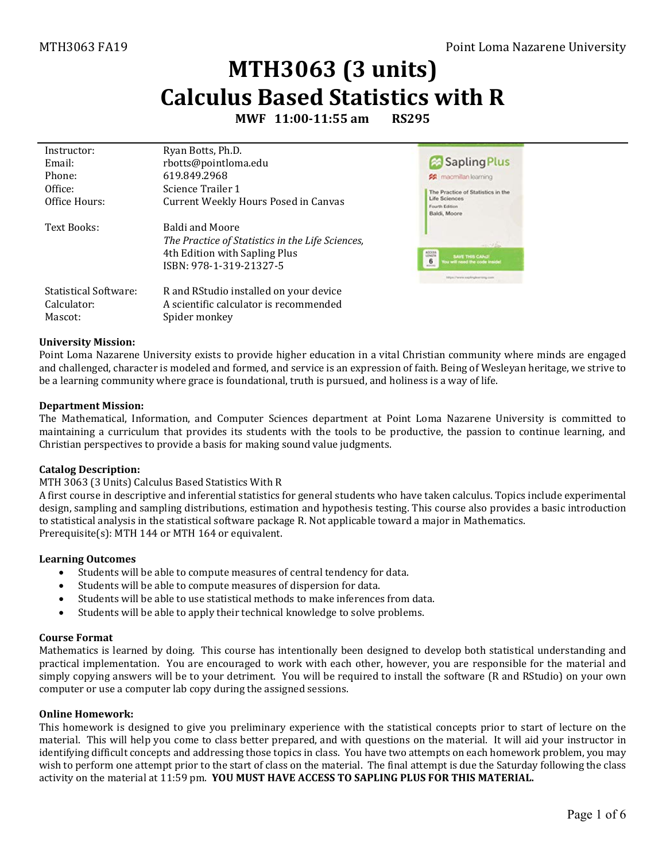# **MTH3063 (3 units) Calculus Based Statistics with R**

**MWF 11:00-11:55 am RS295**

| Instructor:           | Ryan Botts, Ph.D.                                |                                                               |
|-----------------------|--------------------------------------------------|---------------------------------------------------------------|
| Email:                | rbotts@pointloma.edu                             | Sapling Plus                                                  |
| Phone:                | 619.849.2968                                     | <b>22</b> macmillan learning                                  |
| Office:               | Science Trailer 1                                | The Practice of Statistics in the                             |
| Office Hours:         | <b>Current Weekly Hours Posed in Canvas</b>      | Life Sciences<br>Fourth Edition<br>Baldi, Moore               |
| Text Books:           | <b>Baldi and Moore</b>                           |                                                               |
|                       | The Practice of Statistics in the Life Sciences, | $-30 -$                                                       |
|                       | 4th Edition with Sapling Plus                    | ADDESS<br><b>SAVE THIS CAND</b>                               |
|                       | ISBN: 978-1-319-21327-5                          | 6<br>fou will need the code inside<br><b><i>Akberlain</i></b> |
|                       |                                                  | Max://www.xxplinglearning.com                                 |
| Statistical Software: | R and RStudio installed on your device           |                                                               |
| Calculator:           | A scientific calculator is recommended           |                                                               |
| Mascot:               | Spider monkey                                    |                                                               |

#### **University Mission:**

Point Loma Nazarene University exists to provide higher education in a vital Christian community where minds are engaged and challenged, character is modeled and formed, and service is an expression of faith. Being of Wesleyan heritage, we strive to be a learning community where grace is foundational, truth is pursued, and holiness is a way of life.

#### **Department Mission:**

The Mathematical, Information, and Computer Sciences department at Point Loma Nazarene University is committed to maintaining a curriculum that provides its students with the tools to be productive, the passion to continue learning, and Christian perspectives to provide a basis for making sound value judgments.

#### **Catalog Description:**

#### MTH 3063 (3 Units) Calculus Based Statistics With R

A first course in descriptive and inferential statistics for general students who have taken calculus. Topics include experimental design, sampling and sampling distributions, estimation and hypothesis testing. This course also provides a basic introduction to statistical analysis in the statistical software package R. Not applicable toward a major in Mathematics. Prerequisite(s)[: MTH 144](http://catalog.pointloma.edu/content.php?filter%5B27%5D=MTH&filter%5B29%5D=363&filter%5Bcourse_type%5D=-1&filter%5Bkeyword%5D=&filter%5B32%5D=1&filter%5Bcpage%5D=1&cur_cat_oid=24&expand=&navoid=1590&search_database=Filter#tt1159) or [MTH 164](http://catalog.pointloma.edu/content.php?filter%5B27%5D=MTH&filter%5B29%5D=363&filter%5Bcourse_type%5D=-1&filter%5Bkeyword%5D=&filter%5B32%5D=1&filter%5Bcpage%5D=1&cur_cat_oid=24&expand=&navoid=1590&search_database=Filter#tt237) or equivalent.

#### **Learning Outcomes**

- Students will be able to compute measures of central tendency for data.
- Students will be able to compute measures of dispersion for data.
- Students will be able to use statistical methods to make inferences from data.
- Students will be able to apply their technical knowledge to solve problems.

#### **Course Format**

Mathematics is learned by doing. This course has intentionally been designed to develop both statistical understanding and practical implementation. You are encouraged to work with each other, however, you are responsible for the material and simply copying answers will be to your detriment. You will be required to install the software (R and RStudio) on your own computer or use a computer lab copy during the assigned sessions.

#### **Online Homework:**

This homework is designed to give you preliminary experience with the statistical concepts prior to start of lecture on the material. This will help you come to class better prepared, and with questions on the material. It will aid your instructor in identifying difficult concepts and addressing those topics in class. You have two attempts on each homework problem, you may wish to perform one attempt prior to the start of class on the material. The final attempt is due the Saturday following the class activity on the material at 11:59 pm. **YOU MUST HAVE ACCESS TO SAPLING PLUS FOR THIS MATERIAL.**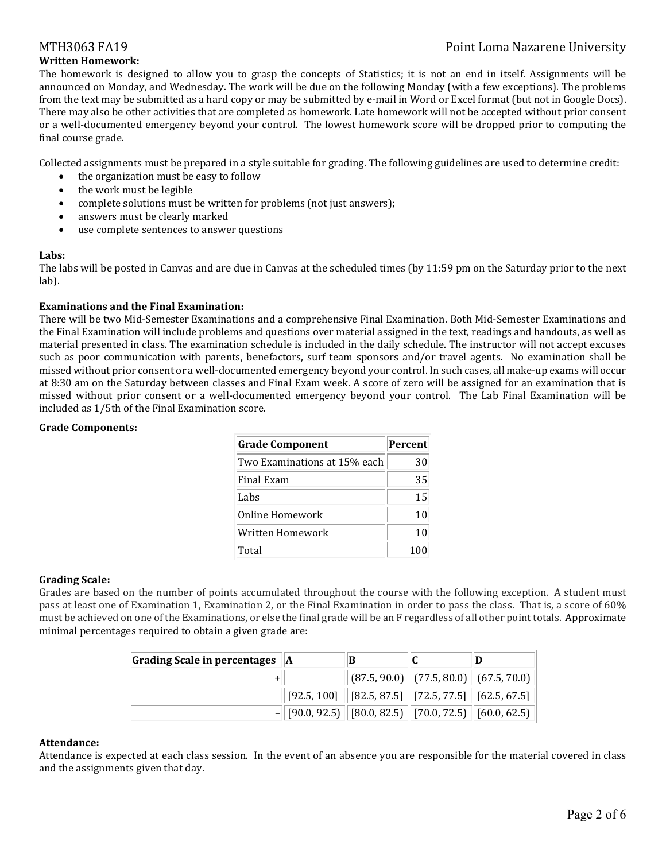## MTH3063 FA19 Point Loma Nazarene University

## **Written Homework:**

The homework is designed to allow you to grasp the concepts of Statistics; it is not an end in itself. Assignments will be announced on Monday, and Wednesday. The work will be due on the following Monday (with a few exceptions). The problems from the text may be submitted as a hard copy or may be submitted by e-mail in Word or Excel format (but not in Google Docs). There may also be other activities that are completed as homework. Late homework will not be accepted without prior consent or a well-documented emergency beyond your control. The lowest homework score will be dropped prior to computing the final course grade.

Collected assignments must be prepared in a style suitable for grading. The following guidelines are used to determine credit:

- the organization must be easy to follow
- the work must be legible
- complete solutions must be written for problems (not just answers);
- answers must be clearly marked
- use complete sentences to answer questions

### **Labs:**

The labs will be posted in Canvas and are due in Canvas at the scheduled times (by 11:59 pm on the Saturday prior to the next lab).

### **Examinations and the Final Examination:**

There will be two Mid-Semester Examinations and a comprehensive Final Examination. Both Mid-Semester Examinations and the Final Examination will include problems and questions over material assigned in the text, readings and handouts, as well as material presented in class. The examination schedule is included in the daily schedule. The instructor will not accept excuses such as poor communication with parents, benefactors, surf team sponsors and/or travel agents. No examination shall be missed without prior consent or a well-documented emergency beyond your control. In such cases, all make-up exams will occur at 8:30 am on the Saturday between classes and Final Exam week. A score of zero will be assigned for an examination that is missed without prior consent or a well-documented emergency beyond your control. The Lab Final Examination will be included as 1/5th of the Final Examination score.

### **Grade Components:**

| <b>Grade Component</b>       | Percent |
|------------------------------|---------|
| Two Examinations at 15% each | 30      |
| <b>Final Exam</b>            | 35      |
| Labs                         | 15      |
| Online Homework              | 10      |
| Written Homework             | 10      |
| Total                        | 100     |

### **Grading Scale:**

Grades are based on the number of points accumulated throughout the course with the following exception. A student must pass at least one of Examination 1, Examination 2, or the Final Examination in order to pass the class. That is, a score of 60% must be achieved on one of the Examinations, or else the final grade will be an F regardless of all other point totals. Approximate minimal percentages required to obtain a given grade are:

| Grading Scale in percentages   A | в |                                                                                       |  |
|----------------------------------|---|---------------------------------------------------------------------------------------|--|
|                                  |   | $\ $ (87.5, 90.0) $\ $ (77.5, 80.0) $\ $ (67.5, 70.0) $\ $                            |  |
|                                  |   | $\mid$ [92.5, 100] $\mid$ [82.5, 87.5] $\mid$ [72.5, 77.5] $\mid$ [62.5, 67.5] $\mid$ |  |
|                                  |   | $-$ [90.0, 92.5) [80.0, 82.5) [70.0, 72.5) [60.0, 62.5)]                              |  |

#### **Attendance:**

Attendance is expected at each class session. In the event of an absence you are responsible for the material covered in class and the assignments given that day.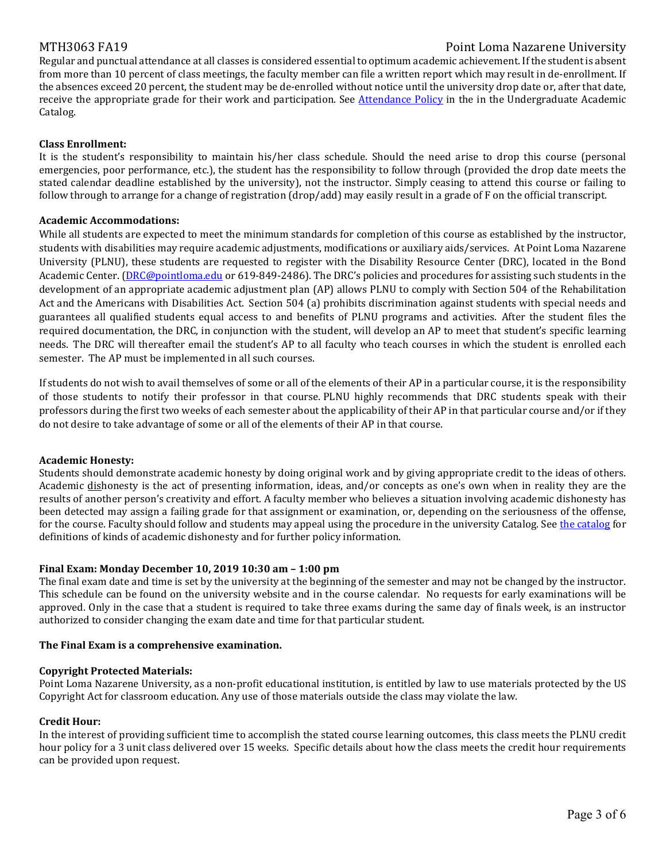### MTH3063 FA19 Point Loma Nazarene University

Regular and punctual attendance at all classes is considered essential to optimum academic achievement. If the student is absent from more than 10 percent of class meetings, the faculty member can file a written report which may result in de-enrollment. If the absences exceed 20 percent, the student may be de-enrolled without notice until the university drop date or, after that date, receive the appropriate grade for their work and participation. See [Attendance Policy](https://catalog.pointloma.edu/content.php?catoid=28&navoid=1761#Class_Attendance) in the in the Undergraduate Academic Catalog.

#### **Class Enrollment:**

It is the student's responsibility to maintain his/her class schedule. Should the need arise to drop this course (personal emergencies, poor performance, etc.), the student has the responsibility to follow through (provided the drop date meets the stated calendar deadline established by the university), not the instructor. Simply ceasing to attend this course or failing to follow through to arrange for a change of registration (drop/add) may easily result in a grade of F on the official transcript.

#### **Academic Accommodations:**

While all students are expected to meet the minimum standards for completion of this course as established by the instructor, students with disabilities may require academic adjustments, modifications or auxiliary aids/services. At Point Loma Nazarene University (PLNU), these students are requested to register with the Disability Resource Center (DRC), located in the Bond Academic Center. [\(DRC@pointloma.edu](mailto:DRC@pointloma.edu) or 619-849-2486). The DRC's policies and procedures for assisting such students in the development of an appropriate academic adjustment plan (AP) allows PLNU to comply with Section 504 of the Rehabilitation Act and the Americans with Disabilities Act. Section 504 (a) prohibits discrimination against students with special needs and guarantees all qualified students equal access to and benefits of PLNU programs and activities. After the student files the required documentation, the DRC, in conjunction with the student, will develop an AP to meet that student's specific learning needs. The DRC will thereafter email the student's AP to all faculty who teach courses in which the student is enrolled each semester. The AP must be implemented in all such courses.

If students do not wish to avail themselves of some or all of the elements of their AP in a particular course, it is the responsibility of those students to notify their professor in that course. PLNU highly recommends that DRC students speak with their professors during the first two weeks of each semester about the applicability of their AP in that particular course and/or if they do not desire to take advantage of some or all of the elements of their AP in that course.

#### **Academic Honesty:**

Students should demonstrate academic honesty by doing original work and by giving appropriate credit to the ideas of others. Academic dishonesty is the act of presenting information, ideas, and/or concepts as one's own when in reality they are the results of another person's creativity and effort. A faculty member who believes a situation involving academic dishonesty has been detected may assign a failing grade for that assignment or examination, or, depending on the seriousness of the offense, for the course. Faculty should follow and students may appeal using the procedure in the university Catalog. See [the catalog](https://catalog.pointloma.edu/content.php?catoid=28&navoid=1761#Academic_Honesty) for definitions of kinds of academic dishonesty and for further policy information.

#### **Final Exam: Monday December 10, 2019 10:30 am – 1:00 pm**

The final exam date and time is set by the university at the beginning of the semester and may not be changed by the instructor. This schedule can be found on the university website and in the course calendar. No requests for early examinations will be approved. Only in the case that a student is required to take three exams during the same day of finals week, is an instructor authorized to consider changing the exam date and time for that particular student.

#### **The Final Exam is a comprehensive examination.**

#### **Copyright Protected Materials:**

Point Loma Nazarene University, as a non-profit educational institution, is entitled by law to use materials protected by the US Copyright Act for classroom education. Any use of those materials outside the class may violate the law.

#### **Credit Hour:**

In the interest of providing sufficient time to accomplish the stated course learning outcomes, this class meets the PLNU credit hour policy for a 3 unit class delivered over 15 weeks. Specific details about how the class meets the credit hour requirements can be provided upon request.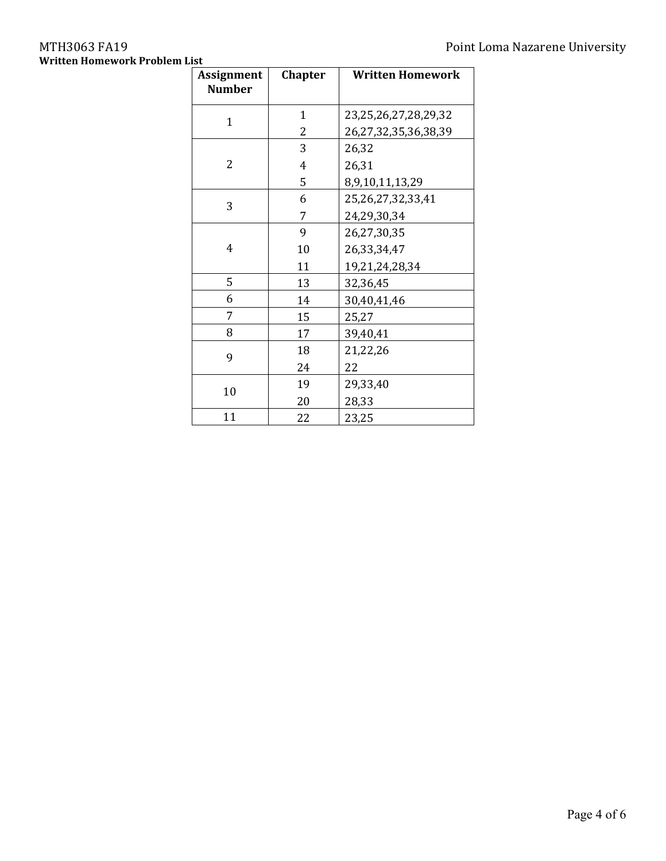# **Written Homework Problem List**

| <b>Assignment</b><br><b>Number</b> | <b>Chapter</b> | <b>Written Homework</b>    |
|------------------------------------|----------------|----------------------------|
| 1                                  | $\mathbf 1$    | 23, 25, 26, 27, 28, 29, 32 |
|                                    | 2              | 26,27,32,35,36,38,39       |
|                                    | 3              | 26,32                      |
| 2                                  | 4              | 26,31                      |
|                                    | 5              | 8,9,10,11,13,29            |
| 3                                  | 6              | 25,26,27,32,33,41          |
|                                    | 7              | 24,29,30,34                |
|                                    | 9              | 26,27,30,35                |
| 4                                  | 10             | 26,33,34,47                |
|                                    | 11             | 19,21,24,28,34             |
| 5                                  | 13             | 32,36,45                   |
| 6                                  | 14             | 30,40,41,46                |
| 7                                  | 15             | 25,27                      |
| 8                                  | 17             | 39,40,41                   |
| 9                                  | 18             | 21,22,26                   |
|                                    | 24             | 22                         |
| 10                                 | 19             | 29,33,40                   |
|                                    | 20             | 28,33                      |
| 11                                 | 22             | 23,25                      |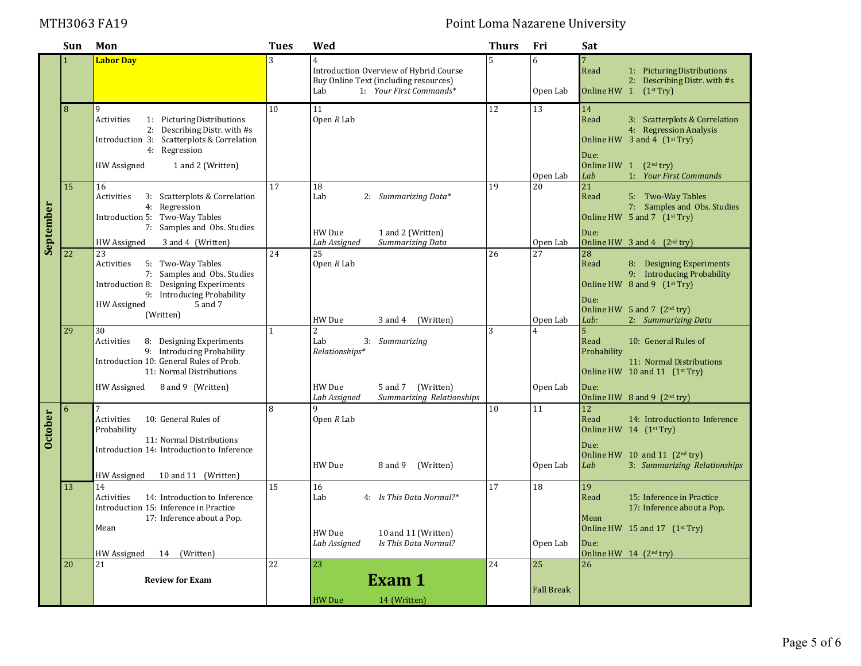# MTH3063 FA19 **Point Loma Nazarene University**

|                | Sun | Mon                                                                  | <b>Tues</b>  | Wed                                                                             | <b>Thurs</b>            | Fri               | Sat                                                                   |
|----------------|-----|----------------------------------------------------------------------|--------------|---------------------------------------------------------------------------------|-------------------------|-------------------|-----------------------------------------------------------------------|
|                |     | <b>Labor Day</b>                                                     | 3            | $\overline{4}$                                                                  | 5                       | 6                 |                                                                       |
|                |     |                                                                      |              | Introduction Overview of Hybrid Course<br>Buy Online Text (including resources) |                         |                   | Read<br>1: Picturing Distributions<br>2: Describing Distr. with #s    |
|                |     |                                                                      |              | Lab<br>1: Your First Commands*                                                  |                         | Open Lab          | Online HW 1<br>(1 <sup>st</sup> Try)                                  |
|                |     | 9                                                                    | 10           | 11                                                                              | 12                      |                   |                                                                       |
|                | 8   | 1: Picturing Distributions<br>Activities                             |              | Open $R$ Lab                                                                    |                         | 13                | 14<br>Read<br>3: Scatterplots & Correlation                           |
|                |     | 2: Describing Distr. with #s                                         |              |                                                                                 |                         |                   | 4: Regression Analysis                                                |
|                |     | Introduction 3: Scatterplots & Correlation                           |              |                                                                                 |                         |                   | Online HW $3$ and $4$ $(1st Try)$                                     |
|                |     | 4: Regression                                                        |              |                                                                                 |                         |                   | Due:                                                                  |
|                |     | 1 and 2 (Written)<br>HW Assigned                                     |              |                                                                                 |                         | Open Lab          | Online HW $1$ $(2nd try)$<br>1: Your First Commands<br>Lab            |
|                | 15  | 16                                                                   | 17           | 18                                                                              | 19                      | 20                | 21                                                                    |
|                |     | 3: Scatterplots & Correlation<br>Activities                          |              | Lab<br>2: Summarizing Data*                                                     |                         |                   | Read<br>5: Two-Way Tables                                             |
|                |     | 4: Regression<br>Introduction 5: Two-Way Tables                      |              |                                                                                 |                         |                   | 7: Samples and Obs. Studies<br>Online HW 5 and 7 (1st Try)            |
|                |     | 7: Samples and Obs. Studies                                          |              |                                                                                 |                         |                   |                                                                       |
| September      |     | <b>HW</b> Assigned<br>3 and 4 (Written)                              |              | HW Due<br>1 and 2 (Written)<br>Lab Assigned<br>Summarizing Data                 |                         | Open Lab          | Due:<br>Online HW $\,$ 3 and 4 $\,$ (2 <sup>nd</sup> try)             |
|                | 22  | 23                                                                   | 24           | 25                                                                              | 26                      | 27                | 28                                                                    |
|                |     | 5: Two-Way Tables<br>Activities                                      |              | Open $R$ Lab                                                                    |                         |                   | Read<br>8: Designing Experiments                                      |
|                |     | 7: Samples and Obs. Studies<br>Introduction 8: Designing Experiments |              |                                                                                 |                         |                   | 9: Introducing Probability<br>Online HW $8$ and $9$ $(1st Try)$       |
|                |     | 9: Introducing Probability                                           |              |                                                                                 |                         |                   | Due:                                                                  |
|                |     | HW Assigned<br>5 and 7<br>(Written)                                  |              |                                                                                 |                         |                   | Online HW 5 and 7 (2nd try)                                           |
|                |     |                                                                      | $\mathbf{1}$ | HW Due<br>3 and 4<br>(Written)                                                  | $\overline{\mathbf{3}}$ | Open Lab          | 2: Summarizing Data<br>Lab:                                           |
|                | 29  | 30<br>Activities<br>8: Designing Experiments                         |              | $\overline{2}$<br>Lab<br>3: Summarizing                                         |                         |                   | 5 <sup>5</sup><br>Read<br>10: General Rules of                        |
|                |     | 9: Introducing Probability                                           |              | Relationships*                                                                  |                         |                   | Probability                                                           |
|                |     | Introduction 10: General Rules of Prob.<br>11: Normal Distributions  |              |                                                                                 |                         |                   | 11: Normal Distributions<br>Online HW 10 and 11 (1 <sup>st</sup> Try) |
|                |     |                                                                      |              |                                                                                 |                         |                   |                                                                       |
|                |     | 8 and 9 (Written)<br>HW Assigned                                     |              | HW Due<br>(Written)<br>5 and 7<br>Lab Assigned<br>Summarizing Relationships     |                         | Open Lab          | Due:<br>Online HW $8$ and $9$ $(2nd try)$                             |
|                | 6   | 7                                                                    | 8            | q                                                                               | 10                      | 11                | 12                                                                    |
| <b>October</b> |     | Activities<br>10: General Rules of                                   |              | Open $R$ Lab                                                                    |                         |                   | Read<br>14: Introduction to Inference                                 |
|                |     | Probability<br>11: Normal Distributions                              |              |                                                                                 |                         |                   | Online HW 14 (1st Try)                                                |
|                |     | Introduction 14: Introduction to Inference                           |              |                                                                                 |                         |                   | Due:<br>Online HW 10 and 11 $(2nd try)$                               |
|                |     |                                                                      |              | HW Due<br>8 and 9<br>(Written)                                                  |                         | Open Lab          | Lab<br>3: Summarizing Relationships                                   |
|                |     | HW Assigned<br>10 and 11 (Written)                                   |              |                                                                                 |                         |                   |                                                                       |
|                | 13  | 14<br>Activities<br>14: Introduction to Inference                    | 15           | 16<br>Lab<br>4: Is This Data Normal?*                                           | 17                      | 18                | 19<br>Read<br>15: Inference in Practice                               |
|                |     | Introduction 15: Inference in Practice                               |              |                                                                                 |                         |                   | 17: Inference about a Pop.                                            |
|                |     | 17: Inference about a Pop.                                           |              |                                                                                 |                         |                   | Mean                                                                  |
|                |     | Mean                                                                 |              | HW Due<br>10 and 11 (Written)                                                   |                         |                   | Online HW 15 and 17 $(1^{st} Try)$                                    |
|                |     | 14<br>(Written)<br>HW Assigned                                       |              | Lab Assigned<br>Is This Data Normal?                                            |                         | Open Lab          | Due:<br>Online HW $14$ (2 <sup>nd</sup> try)                          |
|                | 20  | 21                                                                   | 22           | 23                                                                              | 24                      | 25                | 26                                                                    |
|                |     | <b>Review for Exam</b>                                               |              | Exam 1                                                                          |                         |                   |                                                                       |
|                |     |                                                                      |              |                                                                                 |                         | <b>Fall Break</b> |                                                                       |
|                |     |                                                                      |              | <b>HW</b> Due<br>14 (Written)                                                   |                         |                   |                                                                       |